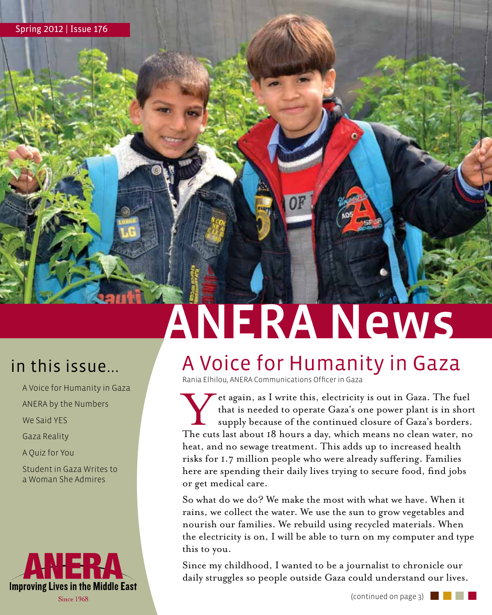# ANERA News

- A Voice for Humanity in Gaza
- ANERA by the Numbers
- We Said YES
- Gaza Reality
- A Quiz for You
- Student in Gaza Writes to a Woman She Admires



### in this issue... A Voice for Humanity in Gaza

Rania Elhilou, ANERA Communications Officer in Gaza

If the again, as I write this, electricity is out in Gaza. The fuel<br>that is needed to operate Gaza's one power plant is in shor<br>supply because of the continued closure of Gaza's borders.<br>The cuts last about 18 hours a day, that is needed to operate Gaza's one power plant is in short supply because of the continued closure of Gaza's borders. The cuts last about 18 hours a day, which means no clean water, no heat, and no sewage treatment. This adds up to increased health risks for 1.7 million people who were already suffering. Families here are spending their daily lives trying to secure food, find jobs or get medical care.

So what do we do? We make the most with what we have. When it rains, we collect the water. We use the sun to grow vegetables and nourish our families. We rebuild using recycled materials. When the electricity is on, I will be able to turn on my computer and type this to you.

Since my childhood, I wanted to be a journalist to chronicle our daily struggles so people outside Gaza could understand our lives.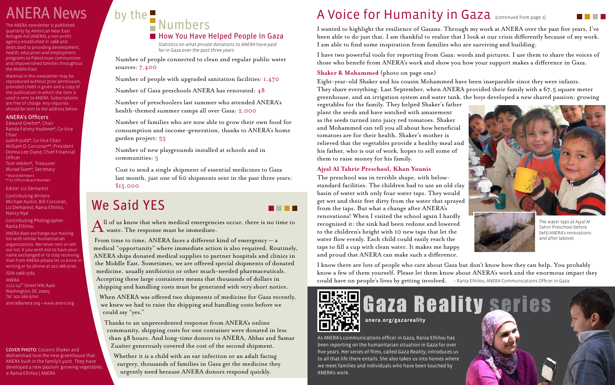I wanted to highlight the resilience of Gazans. Through my work at ANERA over the past five years, I've been able to do just that. I am thankful to realize that I look at our crisis differently because of my work. I am able to find some inspiration from families who are surviving and building.

I have two powerful tools for reporting from Gaza: words and pictures. I use them to share the voices of those who benefit from ANERA's work and show you how your support makes a difference in Gaza.

#### **Shaker & Mohammed** (photo on page one)

Eight-year-old Shaker and his cousin Mohammed have been inseparable since they were infants. They share everything. Last September, when ANERA provided their family with a 67.5 square meter greenhouse, and an irrigation system and water tank, the boys developed a new shared passion: growing

vegetables for the family. They helped Shaker's father plant the seeds and have watched with amazement as the seeds turned into juicy red tomatoes. Shaker and Mohammed can tell you all about how beneficial tomatoes are for their health. Shaker's mother is relieved that the vegetables provide a healthy meal and his father, who is out of work, hopes to sell some of them to raise money for his family.

#### **Ajyal Al Tahrir Preschool, Khan Younis**

The preschool was in terrible shape, with belowstandard facilities. The children had to use an old clay basin of water with only four water taps. They would get wet and their feet dirty from the water that sprayed from the taps. But what a change after ANERA's renovations! When I visited the school again I hardly recognized it: the sink had been redone and lowered to the children's height with 10 new taps that let the water flow evenly. Each child could easily reach the taps to fill a cup with clean water. It makes me happy and proud that ANERA can make such a difference.

Number of people connected to clean and regular public water sources: 7,400

Number of people with upgraded sanitation facilities: 1,470

Number of Gaza preschools ANERA has renovated: 48

Judith Judd\*, Co-Vice Chair William D. Corcoran\*\*, President Donna Lee Diane, Chief Financial **Officer** 

Number of preschoolers last summer who attended ANERA's health-themed summer camps all over Gaza: 2,000

Number of families who are now able to grow their own food for consumption and income-generation, thanks to ANERA's home garden project: 53

Number of new playgrounds installed at schools and in communities: 5

Cost to send a single shipment of essential medicines to Gaza last month, just one of 60 shipments sent in the past three years: \$15,000

> **g Gaza Reality series anera.org/gazareality**

 From time to time, ANERA faces a different kind of emergency — a medical "opportunity" where immediate action is also required. Routinely, ANERA ships donated medical supplies to partner hospitals and clinics in the Middle East. Sometimes, we are offered special shipments of donated medicine, usually antibiotics or other much-needed pharmaceuticals. Accepting these large containers means that thousands of dollars in shipping and handling costs must be generated with very short notice.

When ANERA was offered two shipments of medicine for Gaza recently, we knew we had to raise the shipping and handling costs before we could say "yes."

Thanks to an unprecedented response from ANERA's online community, shipping costs for one container were donated in less than 48 hours. And long-time donors to ANERA, Abbas and Samar Zuaiter generously covered the cost of the second shipment.

Whether it is a child with an ear infection or an adult facing surgery, thousands of families in Gaza get the medicine they urgently need because ANERA donors respond quickly.

### A Voice for Humanity in Gaza (Continued from page 1)

### We Said YES



 $\mathbf A$ ll of us know that when medical emergencies occur, there is no time to waste. The response must be immediate.

I know there are lots of people who care about Gaza but don't know how they can help. You probably know a few of them yourself. Please let them know about ANERA's work and the enormous impact they could have on people's lives by getting involved. – Rania Elhilou, ANERA Communications Officer in Gaza



## **FRA News**

The ANERA newsletter is published quarterly by American Near East Refugee Aid (ANERA), a non-profit agency established in 1968 and dedicated to providing development, health, education and employment programs to Palestinian communities and impoverished families throughout the Middle East.

Material in this newsletter may be reproduced without prior permission, provided credit is given and a copy of the publication in which the item is used is sent to ANERA. Subscriptions are free of charge. Any inquiries should be sent to the address below.

#### ANERA's Officers

Edward Gnehm\*, Chair Randa Fahmy Hudome\*, Co-Vice Chair

Tom Veblen\*, Treasurer Murad Siam\*, Secretary \* Board Members

\*\* Ex Officio Board Member

Editor: Liz Demarest

Contributing Writers: Michael Austin, Bill Corcoran, Liz Demarest, Rania Elhilou, Nancy Nye

Contributing Photographer: Rania Elhilou

ANERA does exchange our mailing list with similar humanitarian organizations. We never rent or sel our list. If you wish not to have your name exchanged or to stop receiving mail from ANERA please let us know in writing or by phone at 202-266-9700. ISSN 1966-3584

#### ANERA

1111 14th Street NW, #400 Washington, DC 20005 Tel: 202-266-9700 anera@anera.org • www.anera.org

#### COVER PHOTO: Cousins Shaker and Mohammad love the new greenhouse that

ANERA built in the family's yard. They have developed a new passion: growing vegetables. © Rania Elhilou | ANERA

### by the  $\blacksquare$  Numbers **How You Have Helped People in Gaza**

The water taps at Ajyal Al Tahrir Preschool before (left) ANERA's renovations and after (above).

*Statistics on what private donations to ANERA have paid for in Gaza over the past three years*

> As ANERA's communications officer in Gaza, Rania Elhilou has been reporting on the humanitarian situation in Gaza for over five years. Her series of films, called *Gaza Reality*, introduces us to all that life there entails. She also takes us into homes where we meet families and individuals who have been touched by ANERA's work.





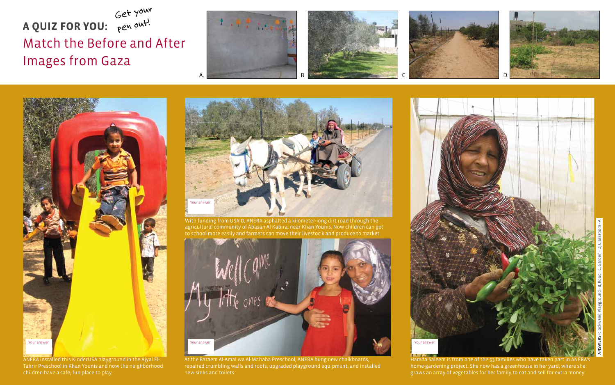#### **A QUIZ FOR YOU:** Match the Before and After Images from Gaza Get your pen out!









ANERA installed this KinderUSA playground in the Ajyal El-Tahrir Preschool in Khan Younis and now the neighborhood children have a safe, fun place to play.







With funding from USAID, ANERA asphalted a kilometer-long dirt road through the agricultural community of Abasan Al Kabira, near Khan Younis. Now children can get to school more easily and farmers can move their livestoc k and produce to market.



At the Baraem Al-Amal wa Al-Mahaba Preschool, ANERA hung new chalkboards, repaired crumbling walls and roofs, upgraded playground equipment, and installed new sinks and toilets.

Hamda Saleem is from one of the 53 families who have taken part in ANERA's home-gardening project. She now has a greenhouse in her yard, where she grows an array of vegetables for her family to eat and sell for extra money.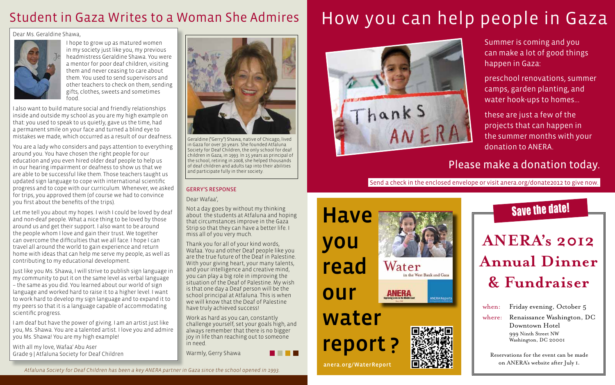#### GERRY'S RESPONSE

Dear Wafaa',

Not a day goes by without my thinking about the students at Atfaluna and hoping that circumstances improve in the Gaza Strip so that they can have a better life. I miss all of you very much.

Thank you for all of your kind words, Wafaa. You and other Deaf people like you are the true future of the Deaf in Palestine. With your giving heart, your many talents, and your intelligence and creative mind, you can play a big role in improving the situation of the Deaf of Palestine. My wish is that one day a Deaf person will be the school principal at Atfaluna. This is when we will know that the Deaf of Palestine have truly achieved success!

Work as hard as you can, constantly challenge yourself, set your goals high, and always remember that there is no bigger joy in life than reaching out to someone in need.

**. . . .** 

Warmly, Gerry Shawa

Dear Ms. Geraldine Shawa,



I hope to grow up as matured women in my society just like you, my previous headmistress Geraldine Shawa. You were a mentor for poor deaf children, visiting them and never ceasing to care about them. You used to send supervisors and other teachers to check on them, sending gifts, clothes, sweets and sometimes food.

I also want to build mature social and friendly relationships inside and outside my school as you are my high example on that: you used to speak to us quietly, gave us the time, had a permanent smile on your face and turned a blind eye to mistakes we made, which occurred as a result of our deafness.

You are a lady who considers and pays attention to everything around you. You have chosen the right people for our education and you even hired older deaf people to help us in our hearing impairment or deafness to show us that we are able to be successful like them. Those teachers taught us updated sign language to cope with international scientific progress and to cope with our curriculum. Whenever, we asked for trips, you approved them (of course we had to convince you first about the benefits of the trips).

Let me tell you about my hopes. I wish I could be loved by deaf and non-deaf people. What a nice thing to be loved by those around us and get their support. I also want to be around the people whom I love and gain their trust. We together can overcome the difficulties that we all face. I hope I can travel all around the world to gain experience and return home with ideas that can help me serve my people, as well as contributing to my educational development.

Just like you Ms. Shawa, I will strive to publish sign language in my community to put it on the same level as verbal language – the same as you did. You learned about our world of sign language and worked hard to raise it to a higher level. I want to work hard to develop my sign language and to expand it to my peers so that it is a language capable of accommodating scientific progress.

I am deaf but have the power of giving. I am an artist just like you, Ms. Shawa. You are a talented artist. I love you and admire you Ms. Shawa! You are my high example!

With all my love, Wafaa' Abu Aser Grade 9 | Atfaluna Society for Deaf Children



Geraldine ("Gerry") Shawa, native of Chicago, lived in Gaza for over 30 years. She founded Atfaluna Society for Deaf Children, the only school for deaf children in Gaza, in 1993. In 15 years as principal of the school, retiring in 2008, she helped thousands of deaf children and adults tap into their abilities and participate fully in their society.

### Student in Gaza Writes to a Woman She Admires

*Atfaluna Society for Deaf Children has been a key ANERA partner in Gaza since the school opened in 1993.*

- Summer is coming and you can make a lot of good things happen in Gaza:
- preschool renovations, summer camps, garden planting, and water hook-ups to homes...
- these are just a few of the projects that can happen in the summer months with your donation to ANERA.

## How you can help people in Gaza



#### Please make a donation today.

Send a check in the enclosed envelope or visit anera.org/donate2012 to give now.

# **ANERA's 2012**

## **Annual Dinner**

### **& Fundraiser**

### Save the date!

- when: Friday evening, October 5
- where: Renaissance Washington, DC Downtown Hotel 999 Ninth Street NW Washington, DC 20001

Reservations for the event can be made on ANERA's website after July 1.